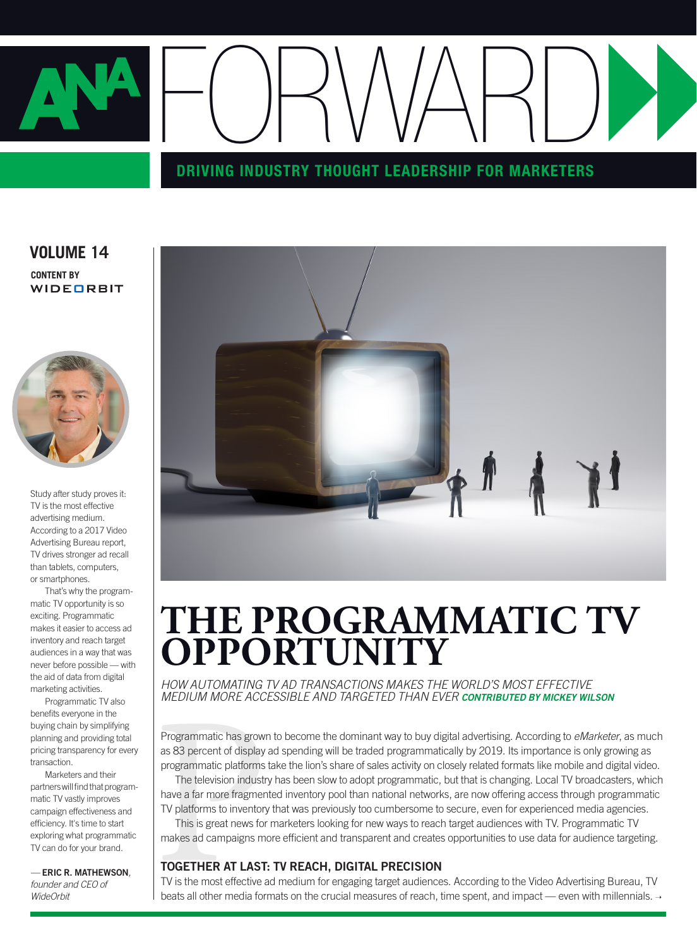

**VOLUME 14 CONTENT BY** WIDEORBIT



Study after study proves it: TV is the most effective advertising medium. According to a 2017 Video Advertising Bureau report, TV drives stronger ad recall than tablets, computers, or smartphones.

That's why the programmatic TV opportunity is so exciting. Programmatic makes it easier to access ad inventory and reach target audiences in a way that was never before possible — with the aid of data from digital marketing activities.

Programmatic TV also benefits everyone in the buying chain by simplifying planning and providing total pricing transparency for every transaction.

Marketers and their partners will find that programmatic TV vastly improves campaign effectiveness and efficiency. It's time to start exploring what programmatic TV can do for your brand.

*—* ERIC R. MATHEWSON*, founder and CEO of WideOrbit*



## **THE PROGRAMMATIC TV OPPORTUNITY**

*HOW AUTOMATING TV AD TRANSACTIONS MAKES THE WORLD'S MOST EFFECTIVE MEDIUM MORE ACCESSIBLE AND TARGETED THAN EVER CONTRIBUTED BY MICKEY WILSON*

Programmatic has grown to become the dominant way to buy digital advertising. According to *eMarketer*, as much as 83 percent of display ad spending will be traded programmatically by 2019. Its importance is only growing as programmatic platforms take the lion's share of sales activity on closely related formats like mobile and digital video.

Programmatic has grow<br>as 83 percent of display<br>programmatic platforms<br>The television industr<br>have a far more fragmer<br>TV platforms to inventory<br>This is great news for<br>makes ad campaigns m<br>**TOGETHER AT LAST**<br>TV is the most e The television industry has been slow to adopt programmatic, but that is changing. Local TV broadcasters, which have a far more fragmented inventory pool than national networks, are now offering access through programmatic TV platforms to inventory that was previously too cumbersome to secure, even for experienced media agencies.

This is great news for marketers looking for new ways to reach target audiences with TV. Programmatic TV makes ad campaigns more efficient and transparent and creates opportunities to use data for audience targeting.

#### TOGETHER AT LAST: TV REACH, DIGITAL PRECISION

TV is the most effective ad medium for engaging target audiences. According to the Video Advertising Bureau, TV beats all other media formats on the crucial measures of reach, time spent, and impact — even with millennials.  $\rightarrow$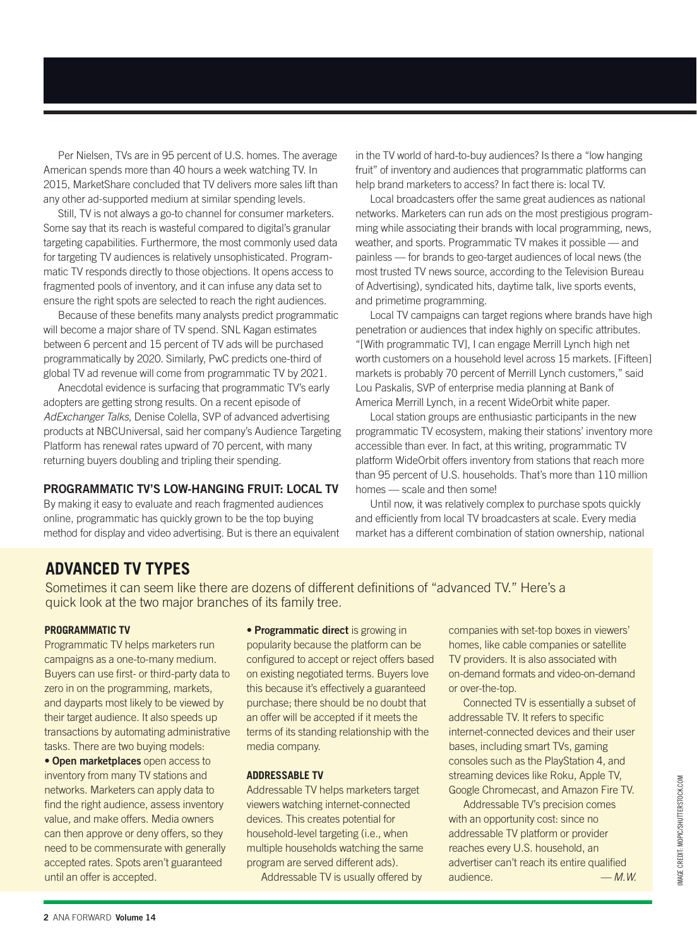Per Nielsen, TVs are in 95 percent of U.S. homes. The average American spends more than 40 hours a week watching TV. In 2015, MarketShare concluded that TV delivers more sales lift than any other ad-supported medium at similar spending levels.

Still, TV is not always a go-to channel for consumer marketers. Some say that its reach is wasteful compared to digital's granular targeting capabilities. Furthermore, the most commonly used data for targeting TV audiences is relatively unsophisticated. Programmatic TV responds directly to those objections. It opens access to fragmented pools of inventory, and it can infuse any data set to ensure the right spots are selected to reach the right audiences.

Because of these benefits many analysts predict programmatic will become a major share of TV spend. SNL Kagan estimates between 6 percent and 15 percent of TV ads will be purchased programmatically by 2020. Similarly, PwC predicts one-third of global TV ad revenue will come from programmatic TV by 2021.

Anecdotal evidence is surfacing that programmatic TV's early adopters are getting strong results. On a recent episode of *AdExchanger Talks*, Denise Colella, SVP of advanced advertising products at NBCUniversal, said her company's Audience Targeting Platform has renewal rates upward of 70 percent, with many returning buyers doubling and tripling their spending.

#### PROGRAMMATIC TV'S LOW-HANGING FRUIT: LOCAL TV

By making it easy to evaluate and reach fragmented audiences online, programmatic has quickly grown to be the top buying method for display and video advertising. But is there an equivalent in the TV world of hard-to-buy audiences? Is there a "low hanging fruit" of inventory and audiences that programmatic platforms can help brand marketers to access? In fact there is: local TV.

Local broadcasters offer the same great audiences as national networks. Marketers can run ads on the most prestigious programming while associating their brands with local programming, news, weather, and sports. Programmatic TV makes it possible — and painless — for brands to geo-target audiences of local news (the most trusted TV news source, according to the Television Bureau of Advertising), syndicated hits, daytime talk, live sports events, and primetime programming.

Local TV campaigns can target regions where brands have high penetration or audiences that index highly on specific attributes. "[With programmatic TV], I can engage Merrill Lynch high net worth customers on a household level across 15 markets. [Fifteen] markets is probably 70 percent of Merrill Lynch customers," said Lou Paskalis, SVP of enterprise media planning at Bank of America Merrill Lynch, in a recent WideOrbit white paper.

Local station groups are enthusiastic participants in the new programmatic TV ecosystem, making their stations' inventory more accessible than ever. In fact, at this writing, programmatic TV platform WideOrbit offers inventory from stations that reach more than 95 percent of U.S. households. That's more than 110 million homes — scale and then some!

Until now, it was relatively complex to purchase spots quickly and efficiently from local TV broadcasters at scale. Every media market has a different combination of station ownership, national

#### **ADVANCED TV TYPES**

Sometimes it can seem like there are dozens of different definitions of "advanced TV." Here's a quick look at the two major branches of its family tree.

#### **PROGRAMMATIC TV**

Programmatic TV helps marketers run campaigns as a one-to-many medium. Buyers can use first- or third-party data to zero in on the programming, markets, and dayparts most likely to be viewed by their target audience. It also speeds up transactions by automating administrative tasks. There are two buying models:

• Open marketplaces open access to inventory from many TV stations and networks. Marketers can apply data to find the right audience, assess inventory value, and make offers. Media owners can then approve or deny offers, so they need to be commensurate with generally accepted rates. Spots aren't guaranteed until an offer is accepted.

• Programmatic direct is growing in popularity because the platform can be configured to accept or reject offers based on existing negotiated terms. Buyers love this because it's effectively a guaranteed purchase; there should be no doubt that an offer will be accepted if it meets the terms of its standing relationship with the media company.

#### **ADDRESSABLE TV**

Addressable TV helps marketers target viewers watching internet-connected devices. This creates potential for household-level targeting (i.e., when multiple households watching the same program are served different ads).

Addressable TV is usually offered by

companies with set-top boxes in viewers' homes, like cable companies or satellite TV providers. It is also associated with on-demand formats and video-on-demand or over-the-top.

Connected TV is essentially a subset of addressable TV. It refers to specific internet-connected devices and their user bases, including smart TVs, gaming consoles such as the PlayStation 4, and streaming devices like Roku, Apple TV, Google Chromecast, and Amazon Fire TV.

Addressable TV's precision comes with an opportunity cost: since no addressable TV platform or provider reaches every U.S. household, an advertiser can't reach its entire qualified audience. *— M.W.*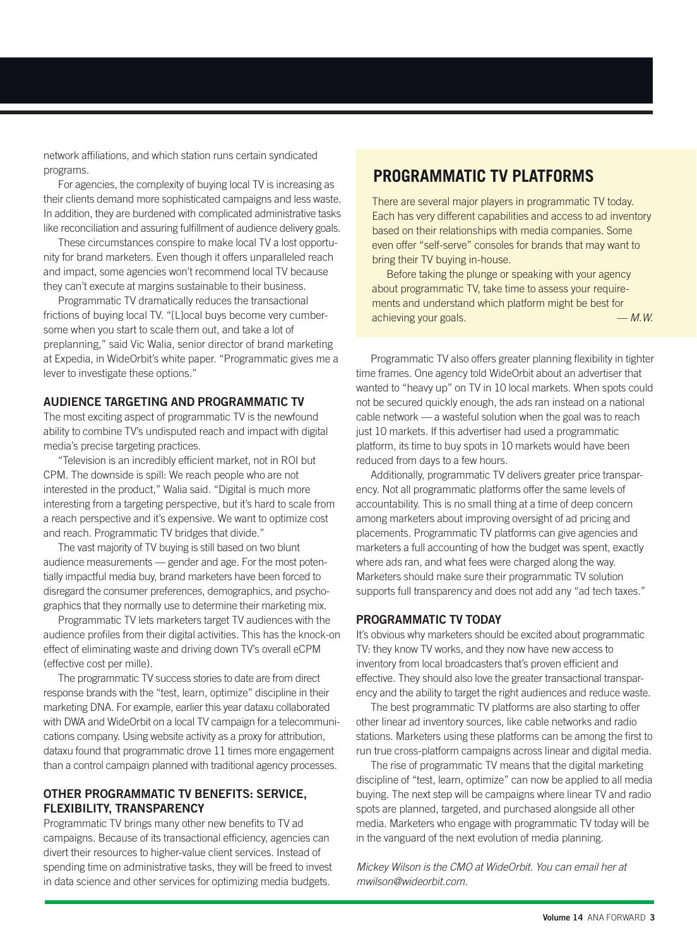network affiliations, and which station runs certain syndicated programs.

For agencies, the complexity of buying local TV is increasing as their clients demand more sophisticated campaigns and less waste. In addition, they are burdened with complicated administrative tasks like reconciliation and assuring fulfillment of audience delivery goals.

These circumstances conspire to make local TV a lost opportunity for brand marketers. Even though it offers unparalleled reach and impact, some agencies won't recommend local TV because they can't execute at margins sustainable to their business.

Programmatic TV dramatically reduces the transactional frictions of buying local TV. "[L]ocal buys become very cumbersome when you start to scale them out, and take a lot of preplanning," said Vic Walia, senior director of brand marketing at Expedia, in WideOrbit's white paper. "Programmatic gives me a lever to investigate these options."

#### AUDIENCE TARGETING AND PROGRAMMATIC TV

The most exciting aspect of programmatic TV is the newfound ability to combine TV's undisputed reach and impact with digital media's precise targeting practices.

"Television is an incredibly efficient market, not in ROI but CPM. The downside is spill: We reach people who are not interested in the product," Walia said. "Digital is much more interesting from a targeting perspective, but it's hard to scale from a reach perspective and it's expensive. We want to optimize cost and reach. Programmatic TV bridges that divide."

The vast majority of TV buying is still based on two blunt audience measurements — gender and age. For the most potentially impactful media buy, brand marketers have been forced to disregard the consumer preferences, demographics, and psychographics that they normally use to determine their marketing mix.

Programmatic TV lets marketers target TV audiences with the audience profiles from their digital activities. This has the knock-on effect of eliminating waste and driving down TV's overall eCPM (effective cost per mille).

The programmatic TV success stories to date are from direct response brands with the "test, learn, optimize" discipline in their marketing DNA. For example, earlier this year dataxu collaborated with DWA and WideOrbit on a local TV campaign for a telecommunications company. Using website activity as a proxy for attribution, dataxu found that programmatic drove 11 times more engagement than a control campaign planned with traditional agency processes.

#### OTHER PROGRAMMATIC TV BENEFITS: SERVICE, FLEXIBILITY, TRANSPARENCY

Programmatic TV brings many other new benefits to TV ad campaigns. Because of its transactional efficiency, agencies can divert their resources to higher-value client services. Instead of spending time on administrative tasks, they will be freed to invest in data science and other services for optimizing media budgets.

#### **PROGRAMMATIC TV PLATFORMS**

There are several major players in programmatic TV today. Each has very different capabilities and access to ad inventory based on their relationships with media companies. Some even offer "self-serve" consoles for brands that may want to bring their TV buying in-house.

Before taking the plunge or speaking with your agency about programmatic TV, take time to assess your requirements and understand which platform might be best for achieving your goals. *— M.W.*

Programmatic TV also offers greater planning flexibility in tighter time frames. One agency told WideOrbit about an advertiser that wanted to "heavy up" on TV in 10 local markets. When spots could not be secured quickly enough, the ads ran instead on a national cable network — a wasteful solution when the goal was to reach just 10 markets. If this advertiser had used a programmatic platform, its time to buy spots in 10 markets would have been reduced from days to a few hours.

Additionally, programmatic TV delivers greater price transparency. Not all programmatic platforms offer the same levels of accountability. This is no small thing at a time of deep concern among marketers about improving oversight of ad pricing and placements. Programmatic TV platforms can give agencies and marketers a full accounting of how the budget was spent, exactly where ads ran, and what fees were charged along the way. Marketers should make sure their programmatic TV solution supports full transparency and does not add any "ad tech taxes."

#### PROGRAMMATIC TV TODAY

It's obvious why marketers should be excited about programmatic TV: they know TV works, and they now have new access to inventory from local broadcasters that's proven efficient and effective. They should also love the greater transactional transparency and the ability to target the right audiences and reduce waste.

The best programmatic TV platforms are also starting to offer other linear ad inventory sources, like cable networks and radio stations. Marketers using these platforms can be among the first to run true cross-platform campaigns across linear and digital media.

The rise of programmatic TV means that the digital marketing discipline of "test, learn, optimize" can now be applied to all media buying. The next step will be campaigns where linear TV and radio spots are planned, targeted, and purchased alongside all other media. Marketers who engage with programmatic TV today will be in the vanguard of the next evolution of media planning.

*Mickey Wilson is the CMO at WideOrbit. You can email her at mwilson@wideorbit.com.*